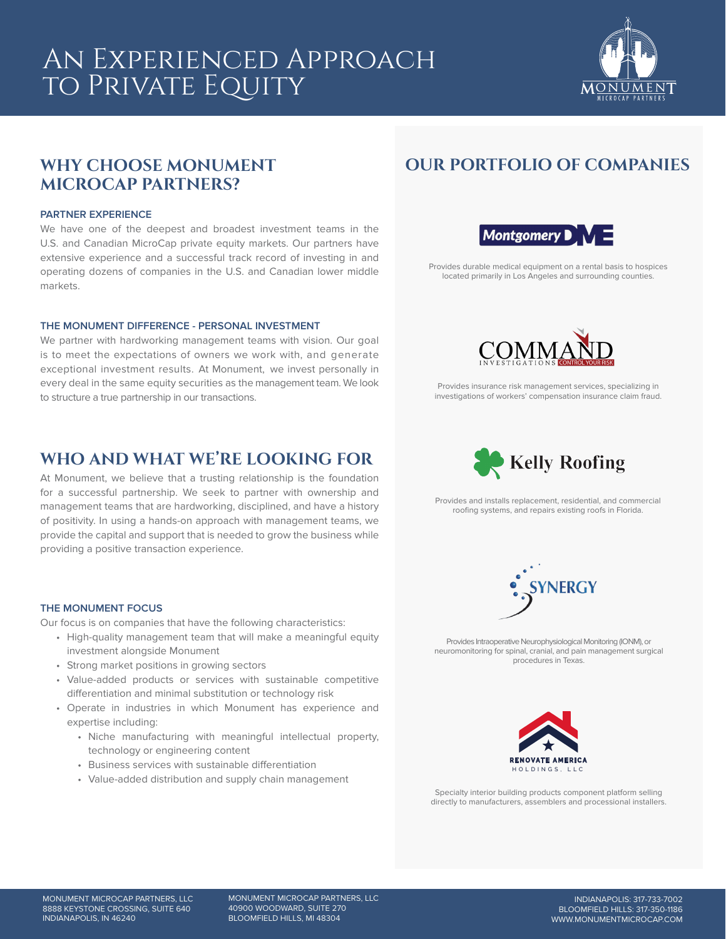# An Experienced Approach to Private Equity



# **WHY CHOOSE MONUMENT MICROCAP PARTNERS?**

#### **PARTNER EXPERIENCE**

We have one of the deepest and broadest investment teams in the U.S. and Canadian MicroCap private equity markets. Our partners have extensive experience and a successful track record of investing in and operating dozens of companies in the U.S. and Canadian lower middle markets.

### **THE MONUMENT DIFFERENCE - PERSONAL INVESTMENT**

We partner with hardworking management teams with vision. Our goal is to meet the expectations of owners we work with, and generate exceptional investment results. At Monument, we invest personally in every deal in the same equity securities as the management team. We look to structure a true partnership in our transactions.

### **WHO AND WHAT WE'RE LOOKING FOR**

At Monument, we believe that a trusting relationship is the foundation for a successful partnership. We seek to partner with ownership and management teams that are hardworking, disciplined, and have a history of positivity. In using a hands-on approach with management teams, we provide the capital and support that is needed to grow the business while providing a positive transaction experience.

### **THE MONUMENT FOCUS**

Our focus is on companies that have the following characteristics:

- High-quality management team that will make a meaningful equity investment alongside Monument
- Strong market positions in growing sectors
- Value-added products or services with sustainable competitive differentiation and minimal substitution or technology risk
- Operate in industries in which Monument has experience and expertise including:
	- Niche manufacturing with meaningful intellectual property, technology or engineering content
	- Business services with sustainable differentiation
	- Value-added distribution and supply chain management

# **OUR PORTFOLIO OF COMPANIES**



Provides durable medical equipment on a rental basis to hospices located primarily in Los Angeles and surrounding counties.



Provides insurance risk management services, specializing in investigations of workers' compensation insurance claim fraud.



Provides and installs replacement, residential, and commercial roofing systems, and repairs existing roofs in Florida.



Provides Intraoperative Neurophysiological Monitoring (IONM), or neuromonitoring for spinal, cranial, and pain management surgical procedures in Texas.



Specialty interior building products component platform selling directly to manufacturers, assemblers and processional installers.

MONUMENT MICROCAP PARTNERS, LLC 40900 WOODWARD, SUITE 270 BLOOMFIELD HILLS, MI 48304